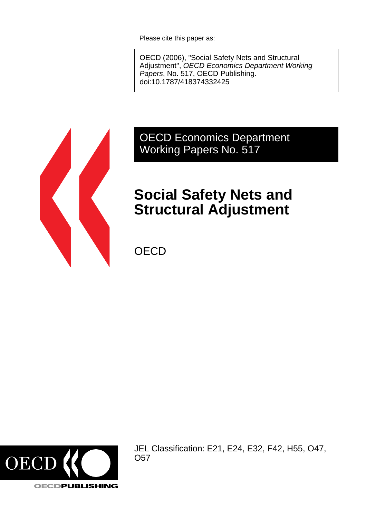Please cite this paper as:

OECD (2006), "Social Safety Nets and Structural Adjustment", OECD Economics Department Working Papers, No. 517, OECD Publishing. [doi:10.1787/418374332425](http://dx.doi.org/10.1787/418374332425)



# OECD Economics Department Working Papers No. 517

# **Social Safety Nets and Structural Adjustment**

**OECD** 



JEL Classification: E21, E24, E32, F42, H55, O47, O57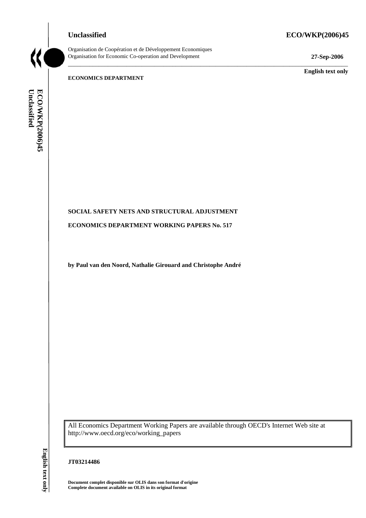# **Unclassified ECO/WKP(2006)45**



Organisation de Coopération et de Développement Economiques Organisation for Economic Co-operation and Development **27-Sep-2006** 

\_\_\_\_\_\_\_\_\_\_\_\_\_\_\_\_\_\_\_\_\_\_\_\_\_\_\_\_\_\_\_\_\_\_\_\_\_\_\_\_\_\_\_\_\_\_\_\_\_\_\_\_\_\_\_\_\_\_\_\_\_\_\_\_\_\_\_\_\_\_\_\_\_\_\_\_\_\_\_\_\_\_\_\_\_\_\_\_\_\_\_

\_\_\_\_\_\_\_\_\_\_\_\_\_ **English text only** 

#### **ECONOMICS DEPARTMENT**

Unclassified ECO/WKP(2006)45 **Unclassified ECO/WKP(2006)45 English text only**

# **SOCIAL SAFETY NETS AND STRUCTURAL ADJUSTMENT**

**ECONOMICS DEPARTMENT WORKING PAPERS No. 517** 

**by Paul van den Noord, Nathalie Girouard and Christophe André** 

All Economics Department Working Papers are available through OECD's Internet Web site at http://www.oecd.org/eco/working\_papers

# **JT03214486**

**Document complet disponible sur OLIS dans son format d'origine Complete document available on OLIS in its original format**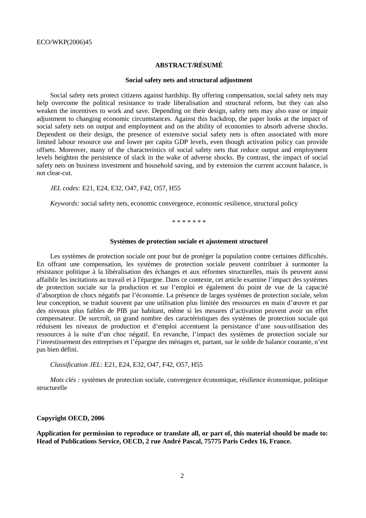# **ABSTRACT/RÉSUMÉ**

#### **Social safety nets and structural adjustment**

Social safety nets protect citizens against hardship. By offering compensation, social safety nets may help overcome the political resistance to trade liberalisation and structural reform, but they can also weaken the incentives to work and save. Depending on their design, safety nets may also ease or impair adjustment to changing economic circumstances. Against this backdrop, the paper looks at the impact of social safety nets on output and employment and on the ability of economies to absorb adverse shocks. Dependent on their design, the presence of extensive social safety nets is often associated with more limited labour resource use and lower per capita GDP levels, even though activation policy can provide offsets. Moreover, many of the characteristics of social safety nets that reduce output and employment levels heighten the persistence of slack in the wake of adverse shocks. By contrast, the impact of social safety nets on business investment and household saving, and by extension the current account balance, is not clear-cut.

*JEL codes:* E21, E24, E32, O47, F42, O57, H55

*Keywords:* social safety nets, economic convergence, economic resilience, structural policy

\* \* \* \* \* \* \*

#### **Systèmes de protection sociale et ajustement structurel**

Les systèmes de protection sociale ont pour but de protéger la population contre certaines difficultés. En offrant une compensation, les systèmes de protection sociale peuvent contribuer à surmonter la résistance politique à la libéralisation des échanges et aux réformes structurelles, mais ils peuvent aussi affaiblir les incitations au travail et à l'épargne. Dans ce contexte, cet article examine l'impact des systèmes de protection sociale sur la production et sur l'emploi et également du point de vue de la capacité d'absorption de chocs négatifs par l'économie. La présence de larges systèmes de protection sociale, selon leur conception, se traduit souvent par une utilisation plus limitée des ressources en main d'œuvre et par des niveaux plus faibles de PIB par habitant, même si les mesures d'activation peuvent avoir un effet compensateur. De surcroît, un grand nombre des caractéristiques des systèmes de protection sociale qui réduisent les niveaux de production et d'emploi accentuent la persistance d'une sous-utilisation des ressources à la suite d'un choc négatif. En revanche, l'impact des systèmes de protection sociale sur l'investissement des entreprises et l'épargne des ménages et, partant, sur le solde de balance courante, n'est pas bien défini.

*Classification JEL:* E21, E24, E32, O47, F42, O57, H55

*Mots clés :* systèmes de protection sociale, convergence économique, résilience économique, politique structurelle

#### **Copyright OECD, 2006**

**Application for permission to reproduce or translate all, or part of, this material should be made to: Head of Publications Service, OECD, 2 rue André Pascal, 75775 Paris Cedex 16, France.**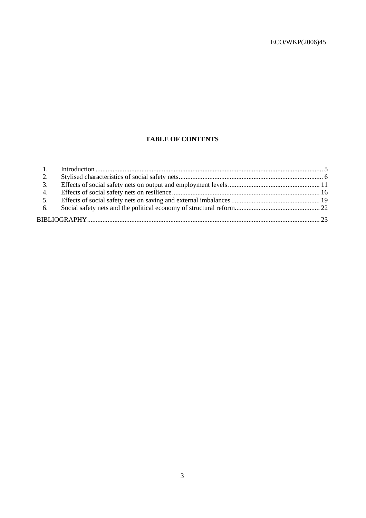# **TABLE OF CONTENTS**

| 2. |  |  |  |  |
|----|--|--|--|--|
| 3. |  |  |  |  |
| 4. |  |  |  |  |
| 5. |  |  |  |  |
| 6. |  |  |  |  |
|    |  |  |  |  |
|    |  |  |  |  |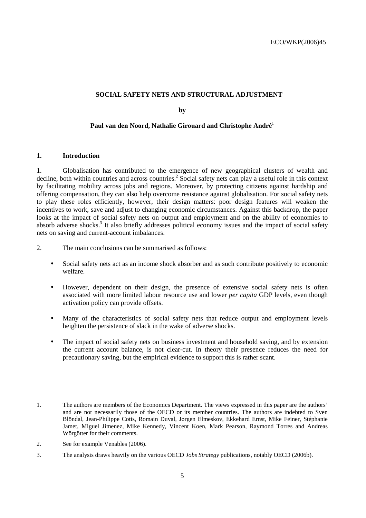### **SOCIAL SAFETY NETS AND STRUCTURAL ADJUSTMENT**

**by** 

# **Paul van den Noord, Nathalie Girouard and Christophe André**<sup>1</sup>

#### **1. Introduction**

1. Globalisation has contributed to the emergence of new geographical clusters of wealth and decline, both within countries and across countries.<sup>2</sup> Social safety nets can play a useful role in this context by facilitating mobility across jobs and regions. Moreover, by protecting citizens against hardship and offering compensation, they can also help overcome resistance against globalisation. For social safety nets to play these roles efficiently, however, their design matters: poor design features will weaken the incentives to work, save and adjust to changing economic circumstances. Against this backdrop, the paper looks at the impact of social safety nets on output and employment and on the ability of economies to absorb adverse shocks.<sup>3</sup> It also briefly addresses political economy issues and the impact of social safety nets on saving and current-account imbalances.

- 2. The main conclusions can be summarised as follows:
	- Social safety nets act as an income shock absorber and as such contribute positively to economic welfare.
	- However, dependent on their design, the presence of extensive social safety nets is often associated with more limited labour resource use and lower *per capita* GDP levels, even though activation policy can provide offsets.
	- Many of the characteristics of social safety nets that reduce output and employment levels heighten the persistence of slack in the wake of adverse shocks.
	- The impact of social safety nets on business investment and household saving, and by extension the current account balance, is not clear-cut. In theory their presence reduces the need for precautionary saving, but the empirical evidence to support this is rather scant.

 $\overline{a}$ 

<sup>1.</sup> The authors are members of the Economics Department. The views expressed in this paper are the authors' and are not necessarily those of the OECD or its member countries. The authors are indebted to Sven Blöndal, Jean-Philippe Cotis, Romain Duval, Jørgen Elmeskov, Ekkehard Ernst, Mike Feiner, Stéphanie Jamet, Miguel Jimenez, Mike Kennedy, Vincent Koen, Mark Pearson, Raymond Torres and Andreas Wörgötter for their comments.

<sup>2.</sup> See for example Venables (2006).

<sup>3.</sup> The analysis draws heavily on the various OECD *Jobs Strategy* publications, notably OECD (2006b).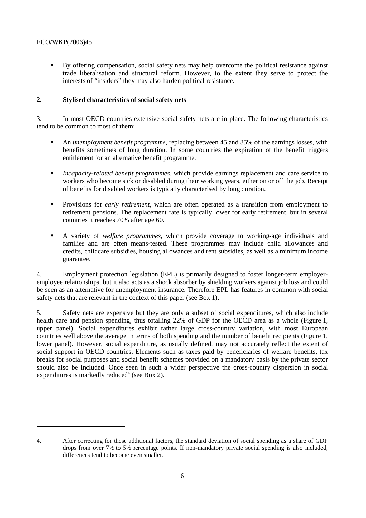$\overline{a}$ 

• By offering compensation, social safety nets may help overcome the political resistance against trade liberalisation and structural reform. However, to the extent they serve to protect the interests of "insiders" they may also harden political resistance.

# **2. Stylised characteristics of social safety nets**

3. In most OECD countries extensive social safety nets are in place. The following characteristics tend to be common to most of them:

- An *unemployment benefit programme*, replacing between 45 and 85% of the earnings losses, with benefits sometimes of long duration. In some countries the expiration of the benefit triggers entitlement for an alternative benefit programme.
- *Incapacity-related benefit programmes*, which provide earnings replacement and care service to workers who become sick or disabled during their working years, either on or off the job. Receipt of benefits for disabled workers is typically characterised by long duration.
- Provisions for *early retirement,* which are often operated as a transition from employment to retirement pensions. The replacement rate is typically lower for early retirement, but in several countries it reaches 70% after age 60.
- A variety of *welfare programmes,* which provide coverage to working-age individuals and families and are often means-tested. These programmes may include child allowances and credits, childcare subsidies, housing allowances and rent subsidies, as well as a minimum income guarantee.

4. Employment protection legislation (EPL) is primarily designed to foster longer-term employeremployee relationships, but it also acts as a shock absorber by shielding workers against job loss and could be seen as an alternative for unemployment insurance. Therefore EPL has features in common with social safety nets that are relevant in the context of this paper (see Box 1).

5. Safety nets are expensive but they are only a subset of social expenditures, which also include health care and pension spending, thus totalling 22% of GDP for the OECD area as a whole (Figure 1, upper panel). Social expenditures exhibit rather large cross-country variation, with most European countries well above the average in terms of both spending and the number of benefit recipients (Figure 1, lower panel). However, social expenditure, as usually defined, may not accurately reflect the extent of social support in OECD countries. Elements such as taxes paid by beneficiaries of welfare benefits, tax breaks for social purposes and social benefit schemes provided on a mandatory basis by the private sector should also be included. Once seen in such a wider perspective the cross-country dispersion in social expenditures is markedly reduced<sup>4</sup> (see Box 2).

<sup>4.</sup> After correcting for these additional factors, the standard deviation of social spending as a share of GDP drops from over 7½ to 5½ percentage points. If non-mandatory private social spending is also included, differences tend to become even smaller.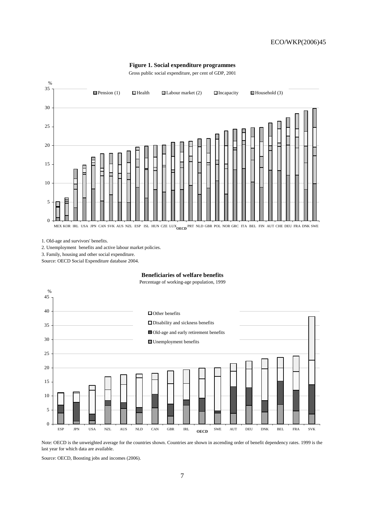#### **Figure 1. Social expenditure programmes**

Gross public social expenditure, per cent of GDP, 2001



1. Old-age and survivors' benefits.

2. Unemployment benefits and active labour market policies.

3. Family, housing and other social expenditure.

Source: OECD Social Expenditure database 2004.

**Beneficiaries of welfare benefits**





Note: OECD is the unweighted average for the countries shown. Countries are shown in ascending order of benefit dependency rates. 1999 is the last year for which data are available.

Source: OECD, Boosting jobs and incomes (2006).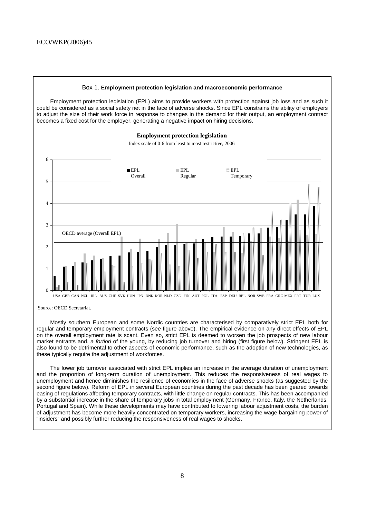

Source: OECD Secretariat.

Mostly southern European and some Nordic countries are characterised by comparatively strict EPL both for regular and temporary employment contracts (see figure above). The empirical evidence on any direct effects of EPL on the overall employment rate is scant. Even so, strict EPL is deemed to worsen the job prospects of new labour market entrants and, a fortiori of the young, by reducing job turnover and hiring (first figure below). Stringent EPL is also found to be detrimental to other aspects of economic performance, such as the adoption of new technologies, as these typically require the adjustment of workforces.

The lower job turnover associated with strict EPL implies an increase in the average duration of unemployment and the proportion of long-term duration of unemployment. This reduces the responsiveness of real wages to unemployment and hence diminishes the resilience of economies in the face of adverse shocks (as suggested by the second figure below). Reform of EPL in several European countries during the past decade has been geared towards easing of regulations affecting temporary contracts, with little change on regular contracts. This has been accompanied by a substantial increase in the share of temporary jobs in total employment (Germany, France, Italy, the Netherlands, Portugal and Spain). While these developments may have contributed to lowering labour adjustment costs, the burden of adjustment has become more heavily concentrated on temporary workers, increasing the wage bargaining power of "insiders" and possibly further reducing the responsiveness of real wages to shocks.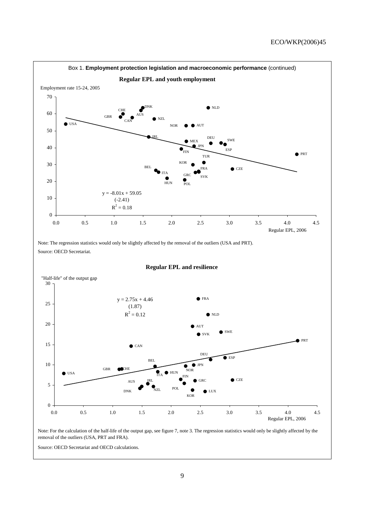

Source: OECD Secretariat and OECD calculations.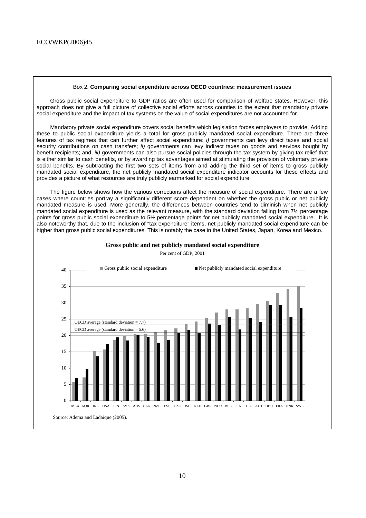#### Box 2. **Comparing social expenditure across OECD countries: measurement issues**

Gross public social expenditure to GDP ratios are often used for comparison of welfare states. However, this approach does not give a full picture of collective social efforts across counties to the extent that mandatory private social expenditure and the impact of tax systems on the value of social expenditures are not accounted for.

Mandatory private social expenditure covers social benefits which legislation forces employers to provide. Adding these to public social expenditure yields a total for gross publicly mandated social expenditure. There are three features of tax regimes that can further affect social expenditure: i) governments can levy direct taxes and social security contributions on cash transfers; ii) governments can levy indirect taxes on goods and services bought by benefit recipients; and, iii) governments can also pursue social policies through the tax system by giving tax relief that is either similar to cash benefits, or by awarding tax advantages aimed at stimulating the provision of voluntary private social benefits. By subtracting the first two sets of items from and adding the third set of items to gross publicly mandated social expenditure, the net publicly mandated social expenditure indicator accounts for these effects and provides a picture of what resources are truly publicly earmarked for social expenditure.

The figure below shows how the various corrections affect the measure of social expenditure. There are a few cases where countries portray a significantly different score dependent on whether the gross public or net publicly mandated measure is used. More generally, the differences between countries tend to diminish when net publicly mandated social expenditure is used as the relevant measure, with the standard deviation falling from 7½ percentage points for gross public social expenditure to 5½ percentage points for net publicly mandated social expenditure. It is also noteworthy that, due to the inclusion of "tax expenditure" items, net publicly mandated social expenditure can be higher than gross public social expenditures. This is notably the case in the United States, Japan, Korea and Mexico.



**Gross public and net publicly mandated social expenditure** Per cent of GDP, 2001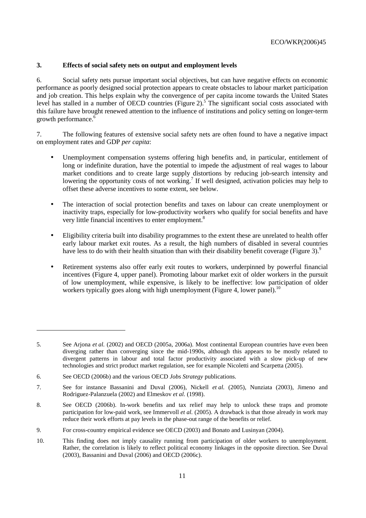# **3. Effects of social safety nets on output and employment levels**

6. Social safety nets pursue important social objectives, but can have negative effects on economic performance as poorly designed social protection appears to create obstacles to labour market participation and job creation. This helps explain why the convergence of per capita income towards the United States level has stalled in a number of OECD countries (Figure 2).<sup>5</sup> The significant social costs associated with this failure have brought renewed attention to the influence of institutions and policy setting on longer-term growth performance.<sup>6</sup>

7. The following features of extensive social safety nets are often found to have a negative impact on employment rates and GDP *per capita*:

- Unemployment compensation systems offering high benefits and, in particular, entitlement of long or indefinite duration, have the potential to impede the adjustment of real wages to labour market conditions and to create large supply distortions by reducing job-search intensity and lowering the opportunity costs of not working.<sup>7</sup> If well designed, activation policies may help to offset these adverse incentives to some extent, see below.
- The interaction of social protection benefits and taxes on labour can create unemployment or inactivity traps, especially for low-productivity workers who qualify for social benefits and have very little financial incentives to enter employment.<sup>8</sup>
- Eligibility criteria built into disability programmes to the extent these are unrelated to health offer early labour market exit routes. As a result, the high numbers of disabled in several countries have less to do with their health situation than with their disability benefit coverage (Figure 3).<sup>9</sup>
- Retirement systems also offer early exit routes to workers, underpinned by powerful financial incentives (Figure 4, upper panel). Promoting labour market exit of older workers in the pursuit of low unemployment, while expensive, is likely to be ineffective: low participation of older workers typically goes along with high unemployment (Figure 4, lower panel).<sup>10</sup>

 $\overline{a}$ 

<sup>5.</sup> See Arjona *et al.* (2002) and OECD (2005a, 2006a). Most continental European countries have even been diverging rather than converging since the mid-1990s, although this appears to be mostly related to divergent patterns in labour and total factor productivity associated with a slow pick-up of new technologies and strict product market regulation, see for example Nicoletti and Scarpetta (2005).

<sup>6.</sup> See OECD (2006b) and the various OECD *Jobs Strategy* publications.

<sup>7.</sup> See for instance Bassanini and Duval (2006), Nickell *et al.* (2005), Nunziata (2003), Jimeno and Rodriguez-Palanzuela (2002) and Elmeskov *et al.* (1998).

<sup>8.</sup> See OECD (2006b). In-work benefits and tax relief may help to unlock these traps and promote participation for low-paid work, see Immervoll *et al.* (2005). A drawback is that those already in work may reduce their work efforts at pay levels in the phase-out range of the benefits or relief.

<sup>9.</sup> For cross-country empirical evidence see OECD (2003) and Bonato and Lusinyan (2004).

<sup>10.</sup> This finding does not imply causality running from participation of older workers to unemployment. Rather, the correlation is likely to reflect political economy linkages in the opposite direction. See Duval (2003), Bassanini and Duval (2006) and OECD (2006c).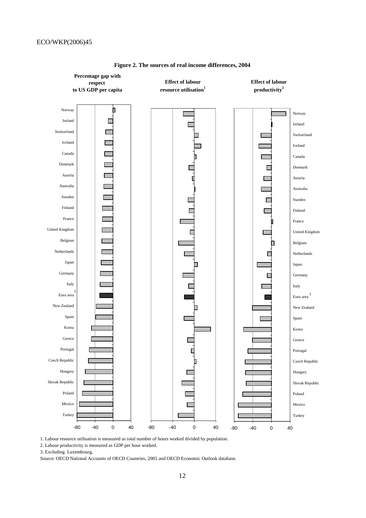

**Figure 2. The sources of real income differences, 2004**

1. Labour resource utilisation is measured as total number of hours worked divided by population.

2. Labour productivity is measured as GDP per hour worked.

3. Excluding Luxembourg,

Source: OECD National Accounts of OECD Countries, 2005 and OECD Economic Outlook database.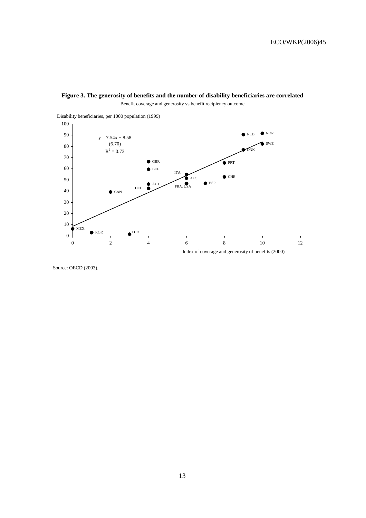



Source: OECD (2003).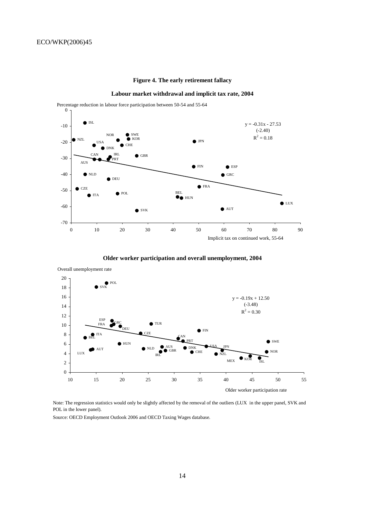# **Figure 4. The early retirement fallacy**

#### **Labour market withdrawal and implicit tax rate, 2004**



0 Percentage reduction in labour force participation between 50-54 and 55-64

**Older worker participation and overall unemployment, 2004**



Note: The regression statistics would only be slightly affected by the removal of the outliers (LUX in the upper panel, SVK and POL in the lower panel).

Source: OECD Employment Outlook 2006 and OECD Taxing Wages database.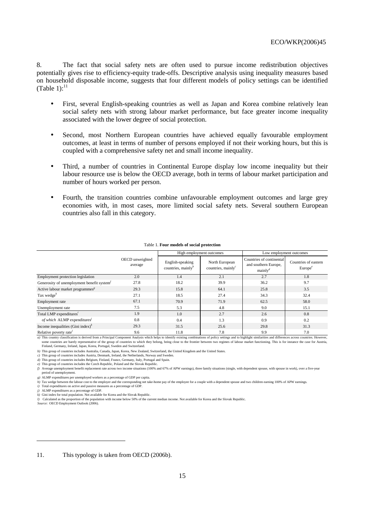8. The fact that social safety nets are often used to pursue income redistribution objectives potentially gives rise to efficiency-equity trade-offs. Descriptive analysis using inequality measures based on household disposable income, suggests that four different models of policy settings can be identified (Table 1): $^{11}$ 

- First, several English-speaking countries as well as Japan and Korea combine relatively lean social safety nets with strong labour market performance, but face greater income inequality associated with the lower degree of social protection.
- Second, most Northern European countries have achieved equally favourable employment outcomes, at least in terms of number of persons employed if not their working hours, but this is coupled with a comprehensive safety net and small income inequality.
- Third, a number of countries in Continental Europe display low income inequality but their labour resource use is below the OECD average, both in terms of labour market participation and number of hours worked per person.
- Fourth, the transition countries combine unfavourable employment outcomes and large grey economies with, in most cases, more limited social safety nets. Several southern European countries also fall in this category.

|                                                            |                            | High employment outcomes                     |                                          | Low employment outcomes                                        |                                             |
|------------------------------------------------------------|----------------------------|----------------------------------------------|------------------------------------------|----------------------------------------------------------------|---------------------------------------------|
|                                                            | OECD unweighted<br>average | English-speaking<br>countries, mainly $\psi$ | North European<br>countries, mainly $^c$ | Countries of continental<br>and southern Europe,<br>$mainly^d$ | Countries of eastern<br>Europe <sup>e</sup> |
| Employment protection legislation                          | 2.0                        | 1.4                                          | 2.1                                      | 2.7                                                            | 1.8                                         |
| Generosity of unemployment benefit system <sup>1</sup>     | 27.8                       | 18.2                                         | 39.9                                     | 36.2                                                           | 9.7                                         |
| Active labour market programmes <sup><math>g</math></sup>  | 29.3                       | 15.8                                         | 64.1                                     | 25.8                                                           | 3.5                                         |
| Tax wedge <sup><math>h</math></sup>                        | 27.1                       | 18.5                                         | 27.4                                     | 34.3                                                           | 32.4                                        |
| Employment rate                                            | 67.1                       | 70.9                                         | 71.9                                     | 62.5                                                           | 58.0                                        |
| Unemployment rate                                          | 7.5                        | 5.3                                          | 4.8                                      | 9.0                                                            | 15.1                                        |
| Total LMP expenditures'                                    | 1.9                        | 1.0                                          | 2.7                                      | 2.6                                                            | 0.8                                         |
| of which ALMP expenditures'                                | 0.8                        | 0.4                                          | 1.3                                      | 0.9                                                            | 0.2                                         |
| Income inequalities (Gini index) <sup><math>k</math></sup> | 29.3                       | 31.5                                         | 25.6                                     | 29.8                                                           | 31.3                                        |
| Relative poverty rate <sup>1</sup>                         | 9.6                        | 11.8                                         | 7.8                                      | 9.9                                                            | 7.0                                         |

#### Table 1. **Four models of social protection**

*a*) This country classification is derived from a Principal Component Analysis which helps to identify existing combinations of policy settings and to highlight similarities and differences across countries. However, some countries are barely representative of the group of countries to which they belong, being close to the frontier between two regimes of labour market functioning. This is for instance the case for Austria, Finland, Germany, Ireland, Japan, Korea, Portugal, Sweden and Switzerland.

*b)* This group of countries includes Australia, Canada, Japan, Korea, New Zealand, Switzerland, the United Kingdom and the United States.

*c)* This group of countries includes Austria, Denmark, Ireland, the Netherlands, Norway and Sweden.

*d)* This group of countries includes Belgium, Finland, France, Germany, Italy, Portugal and Spain.

*e)* This group of countries includes the Czech Republic, Poland and the Slovak Republic.

*f)* Average unemployment benefit replacement rate across two income situations (100% and 67% of APW earnings), three family situations (single, with dependent spouse, with spouse in work), over a five-year period of unemployment.

*g)* ALMP expenditures per unemployed workers as a percentage of GDP per capita.

h) Tax wedge between the labour cost to the employer and the corresponding net take-home pay of the employee for a couple with a dependent spouse and two children earning 100% of APW earnings.

*i) j)* Total expenditures on active and passive measures as a percentage of GDP. ALMP expenditures as a percentage of GDP.

 $\overline{a}$ 

*k)* Gini index for total population. Not available for Korea and the Slovak Republic.

*l)* Calculated as the proportion of the population with income below 50% of the current median income. Not available for Korea and the Slovak Republic. *Source:* OECD Employment Outlook (2006).

11. This typology is taken from OECD (2006b).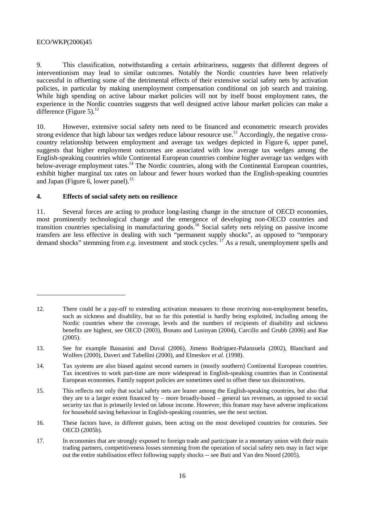$\overline{a}$ 

9. This classification, notwithstanding a certain arbitrariness, suggests that different degrees of interventionism may lead to similar outcomes. Notably the Nordic countries have been relatively successful in offsetting some of the detrimental effects of their extensive social safety nets by activation policies, in particular by making unemployment compensation conditional on job search and training. While high spending on active labour market policies will not by itself boost employment rates, the experience in the Nordic countries suggests that well designed active labour market policies can make a difference (Figure 5). $^{12}$ 

10. However, extensive social safety nets need to be financed and econometric research provides strong evidence that high labour tax wedges reduce labour resource use.<sup>13</sup> Accordingly, the negative crosscountry relationship between employment and average tax wedges depicted in Figure 6, upper panel, suggests that higher employment outcomes are associated with low average tax wedges among the English-speaking countries while Continental European countries combine higher average tax wedges with below-average employment rates.<sup>14</sup> The Nordic countries, along with the Continental European countries, exhibit higher marginal tax rates on labour and fewer hours worked than the English-speaking countries and Japan (Figure 6, lower panel).<sup>15</sup>

# **4. Effects of social safety nets on resilience**

11. Several forces are acting to produce long-lasting change in the structure of OECD economies, most prominently technological change and the emergence of developing non-OECD countries and transition countries specialising in manufacturing goods.16 Social safety nets relying on passive income transfers are less effective in dealing with such "permanent supply shocks", as opposed to "temporary demand shocks" stemming from *e.g.* investment and stock cycles. <sup>17</sup> As a result, unemployment spells and

<sup>12.</sup> There could be a pay-off to extending activation measures to those receiving non-employment benefits, such as sickness and disability, but so far this potential is hardly being exploited, including among the Nordic countries where the coverage, levels and the numbers of recipients of disability and sickness benefits are highest, see OECD (2003), Bonato and Lusinyan (2004), Carcillo and Grubb (2006) and Rae (2005).

<sup>13.</sup> See for example Bassanini and Duval (2006), Jimeno Rodriguez-Palanzuela (2002), Blanchard and Wolfers (2000), Daveri and Tabellini (2000), and Elmeskov *et al.* (1998).

<sup>14.</sup> Tax systems are also biased against second earners in (mostly southern) Continental European countries. Tax incentives to work part-time are more widespread in English-speaking countries than in Continental European economies. Family support policies are sometimes used to offset these tax disincentives.

<sup>15.</sup> This reflects not only that social safety nets are leaner among the English-speaking countries, but also that they are to a larger extent financed by – more broadly-based – general tax revenues, as opposed to social security tax that is primarily levied on labour income. However, this feature may have adverse implications for household saving behaviour in English-speaking countries, see the next section.

<sup>16.</sup> These factors have, in different guises, been acting on the most developed countries for centuries. See OECD (2005b).

<sup>17.</sup> In economies that are strongly exposed to foreign trade and participate in a monetary union with their main trading partners, competitiveness losses stemming from the operation of social safety nets may in fact wipe out the entire stabilisation effect following supply shocks -- see Buti and Van den Noord (2005).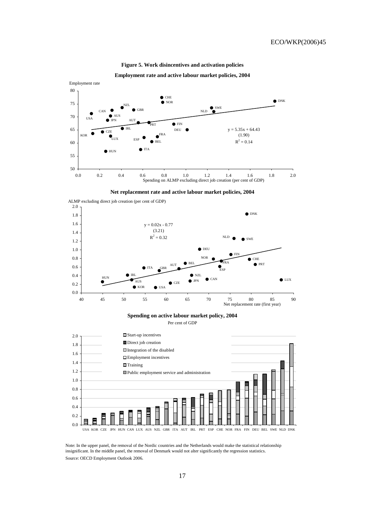

**Figure 5. Work disincentives and activation policies**



**Net replacement rate and active labour market policies, 2004**



USA KOR CZE JPN HUN CAN LUX AUS NZL GBR ITA AUT IRL PRT ESP CHE NOR FRA FIN DEU BEL SWE NLD DNK

Source: OECD Employment Outlook 2006. Note: In the upper panel, the removal of the Nordic countries and the Netherlands would make the statistical relationship insignificant. In the middle panel, the removal of Denmark would not alter significantly the regression statistics.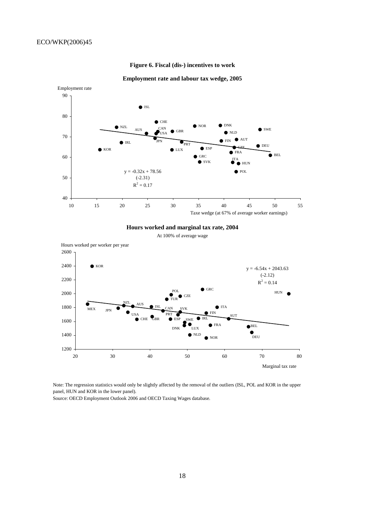

#### **Figure 6. Fiscal (dis-) incentives to work**



**Hours worked and marginal tax rate, 2004**

At 100% of average wage



Note: The regression statistics would only be slightly affected by the removal of the outliers (ISL, POL and KOR in the upper panel, HUN and KOR in the lower panel).

Source: OECD Employment Outlook 2006 and OECD Taxing Wages database.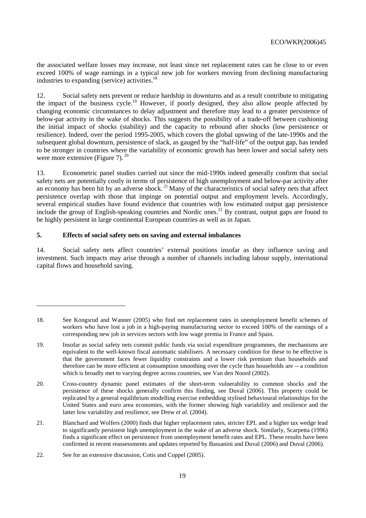the associated welfare losses may increase, not least since net replacement rates can be close to or even exceed 100% of wage earnings in a typical new job for workers moving from declining manufacturing industries to expanding (service) activities.<sup>18</sup>

12. Social safety nets prevent or reduce hardship in downturns and as a result contribute to mitigating the impact of the business cycle.<sup>19</sup> However, if poorly designed, they also allow people affected by changing economic circumstances to delay adjustment and therefore may lead to a greater persistence of below-par activity in the wake of shocks. This suggests the possibility of a trade-off between cushioning the initial impact of shocks (stability) and the capacity to rebound after shocks (low persistence or resilience). Indeed, over the period 1995-2005, which covers the global upswing of the late-1990s and the subsequent global downturn, persistence of slack, as gauged by the "half-life" of the output gap, has tended to be stronger in countries where the variability of economic growth has been lower and social safety nets were more extensive (Figure 7).  $20^{\circ}$ 

13. Econometric panel studies carried out since the mid-1990s indeed generally confirm that social safety nets are potentially costly in terms of persistence of high unemployment and below-par activity after an economy has been hit by an adverse shock.<sup>21</sup> Many of the characteristics of social safety nets that affect persistence overlap with those that impinge on potential output and employment levels. Accordingly, several empirical studies have found evidence that countries with low estimated output gap persistence include the group of English-speaking countries and Nordic ones.<sup>22</sup> By contrast, output gaps are found to be highly persistent in large continental European countries as well as in Japan.

# **5. Effects of social safety nets on saving and external imbalances**

14. Social safety nets affect countries' external positions insofar as they influence saving and investment. Such impacts may arise through a number of channels including labour supply, international capital flows and household saving.

 $\overline{a}$ 

<sup>18.</sup> See Kongsrud and Wanner (2005) who find net replacement rates in unemployment benefit schemes of workers who have lost a job in a high-paying manufacturing sector to exceed 100% of the earnings of a corresponding new job in services sectors with low wage premia in France and Spain.

<sup>19.</sup> Insofar as social safety nets commit public funds via social expenditure programmes, the mechanisms are equivalent to the well-known fiscal automatic stabilisers. A necessary condition for these to be effective is that the government faces fewer liquidity constraints and a lower risk premium than households and therefore can be more efficient at consumption smoothing over the cycle than households are -- a condition which is broadly met to varying degree across countries, see Van den Noord (2002).

<sup>20.</sup> Cross-country dynamic panel estimates of the short-term vulnerability to common shocks and the persistence of these shocks generally confirm this finding, see Duval (2006). This property could be replicated by a general equilibrium modelling exercise embedding stylised behavioural relationships for the United States and euro area economies, with the former showing high variability and resilience and the latter low variability and resilience, see Drew *et al.* (2004).

<sup>21.</sup> Blanchard and Wolfers (2000) finds that higher replacement rates, stricter EPL and a higher tax wedge lead to significantly persistent high unemployment in the wake of an adverse shock. Similarly, Scarpetta (1996) finds a significant effect on persistence from unemployment benefit rates and EPL. These results have been confirmed in recent reassessments and updates reported by Bassanini and Duval (2006) and Duval (2006).

<sup>22.</sup> See for an extensive discussion, Cotis and Coppel (2005).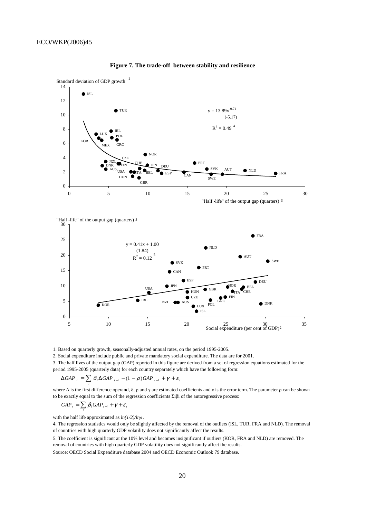

#### **Figure 7. The trade-off between stability and resilience**

USA KOR NZL O AUS LUX POL NOR  $\bullet$  IPN  $\bullet$ <sub>ITA</sub>  $\bullet$  ISL  $\bullet$  IRL HUN  $GP$  $\bullet$  GBR FIN **B** ESP  $\bullet$  DNK  $\bullet$  DEU CZE CHE BEL AUS 0 5 10 5 10 15 20 25 30 35<br>Social expenditure (per cent of GDP)<sup>2</sup>

1. Based on quarterly growth, seasonally-adjusted annual rates, on the period 1995-2005.

2. Social expenditure include public and private mandatory social expenditure. The data are for 2001.

3. The half lives of the output gap (GAP) reported in this figure are derived from a set of regression equations estimated for the period 1995-2005 (quarterly data) for each country separately which have the following form:

$$
\Delta GAP_{t} = \sum_{i} \delta_{i} \Delta GAP_{t-i} - (1 - \rho)GAP_{t-1} + \gamma + \varepsilon_{t}
$$

where  $\Delta$  is the first difference operand,  $\delta$ ,  $\rho$  and  $\gamma$  are estimated coefficients and  $\varepsilon$  is the error term. The parameter  $\rho$  can be shown to be exactly equal to the sum of the regression coefficients Σiβi of the autoregressive process:

$$
GAP_{t} = \sum_{i} \beta_{i} GAP_{t-i} + \gamma + \varepsilon_{t}
$$

with the half life approximated as *ln(1/2)/lnρ* .

4. The regression statistics would only be slightly affected by the removal of the outliers (ISL, TUR, FRA and NLD). The removal of countries with high quarterly GDP volatility does not significantly affect the results.

5. The coefficient is significant at the 10% level and becomes insignificant if outliers (KOR, FRA and NLD) are removed. The removal of countries with high quarterly GDP volatility does not significantly affect the results.

Source: OECD Social Expenditure database 2004 and OECD Economic Outlook 79 database.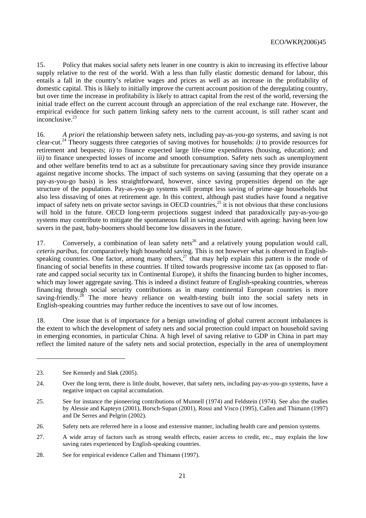15. Policy that makes social safety nets leaner in one country is akin to increasing its effective labour supply relative to the rest of the world. With a less than fully elastic domestic demand for labour, this entails a fall in the country's relative wages and prices as well as an increase in the profitability of domestic capital. This is likely to initially improve the current account position of the deregulating country, but over time the increase in profitability is likely to attract capital from the rest of the world, reversing the initial trade effect on the current account through an appreciation of the real exchange rate. However, the empirical evidence for such pattern linking safety nets to the current account, is still rather scant and inconclusive.<sup>23</sup>

16. *A priori* the relationship between safety nets, including pay-as-you-go systems, and saving is not clear-cut.24 Theory suggests three categories of saving motives for households: *i)* to provide resources for retirement and bequests; *ii)* to finance expected large life-time expenditures (housing, education); and *iii*) to finance unexpected losses of income and smooth consumption. Safety nets such as unemployment and other welfare benefits tend to act as a substitute for precautionary saving since they provide insurance against negative income shocks. The impact of such systems on saving (assuming that they operate on a pay-as-you-go basis) is less straightforward, however, since saving propensities depend on the age structure of the population. Pay-as-you-go systems will prompt less saving of prime-age households but also less dissaving of ones at retirement age. In this context, although past studies have found a negative impact of safety nets on private sector savings in OECD countries,<sup>25</sup> it is not obvious that these conclusions will hold in the future. OECD long-term projections suggest indeed that paradoxically pay-as-you-go systems may contribute to mitigate the spontaneous fall in saving associated with ageing: having been low savers in the past, baby-boomers should become low dissavers in the future.

17. Conversely, a combination of lean safety nets<sup>26</sup> and a relatively young population would call, *ceteris paribus*, for comparatively high household saving. This is not however what is observed in Englishspeaking countries. One factor, among many others,<sup>27</sup> that may help explain this pattern is the mode of financing of social benefits in these countries. If tilted towards progressive income tax (as opposed to flatrate and capped social security tax in Continental Europe), it shifts the financing burden to higher incomes, which may lower aggregate saving. This is indeed a distinct feature of English-speaking countries, whereas financing through social security contributions as in many continental European countries is more saving-friendly.<sup>28</sup> The more heavy reliance on wealth-testing built into the social safety nets in English-speaking countries may further reduce the incentives to save out of low incomes.

18. One issue that is of importance for a benign unwinding of global current account imbalances is the extent to which the development of safety nets and social protection could impact on household saving in emerging economies, in particular China. A high level of saving relative to GDP in China in part may reflect the limited nature of the safety nets and social protection, especially in the area of unemployment

 $\overline{a}$ 

28. See for empirical evidence Callen and Thimann (1997).

<sup>23.</sup> See Kennedy and Sløk (2005).

<sup>24.</sup> Over the long term, there is little doubt, however, that safety nets, including pay-as-you-go systems, have a negative impact on capital accumulation.

<sup>25.</sup> See for instance the pioneering contributions of Munnell (1974) and Feldstein (1974). See also the studies by Alessie and Kapteyn (2001), Borsch-Supan (2001), Rossi and Visco (1995), Callen and Thimann (1997) and De Serres and Pelgrin (2002).

<sup>26.</sup> Safety nets are referred here in a loose and extensive manner, including health care and pension systems.

<sup>27.</sup> A wide array of factors such as strong wealth effects, easier access to credit, etc., may explain the low saving rates experienced by English-speaking countries.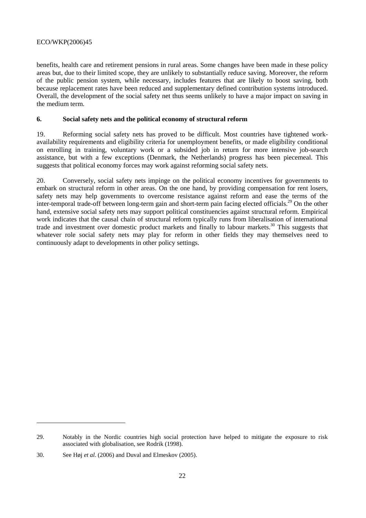benefits, health care and retirement pensions in rural areas. Some changes have been made in these policy areas but, due to their limited scope, they are unlikely to substantially reduce saving. Moreover, the reform of the public pension system, while necessary, includes features that are likely to boost saving, both because replacement rates have been reduced and supplementary defined contribution systems introduced. Overall, the development of the social safety net thus seems unlikely to have a major impact on saving in the medium term.

# **6. Social safety nets and the political economy of structural reform**

19. Reforming social safety nets has proved to be difficult. Most countries have tightened workavailability requirements and eligibility criteria for unemployment benefits, or made eligibility conditional on enrolling in training, voluntary work or a subsided job in return for more intensive job-search assistance, but with a few exceptions (Denmark, the Netherlands) progress has been piecemeal. This suggests that political economy forces may work against reforming social safety nets.

20. Conversely, social safety nets impinge on the political economy incentives for governments to embark on structural reform in other areas. On the one hand, by providing compensation for rent losers, safety nets may help governments to overcome resistance against reform and ease the terms of the inter-temporal trade-off between long-term gain and short-term pain facing elected officials.29 On the other hand, extensive social safety nets may support political constituencies against structural reform. Empirical work indicates that the causal chain of structural reform typically runs from liberalisation of international trade and investment over domestic product markets and finally to labour markets.30 This suggests that whatever role social safety nets may play for reform in other fields they may themselves need to continuously adapt to developments in other policy settings.

 $\overline{a}$ 

<sup>29.</sup> Notably in the Nordic countries high social protection have helped to mitigate the exposure to risk associated with globalisation, see Rodrik (1998).

<sup>30.</sup> See Høj *et al.* (2006) and Duval and Elmeskov (2005).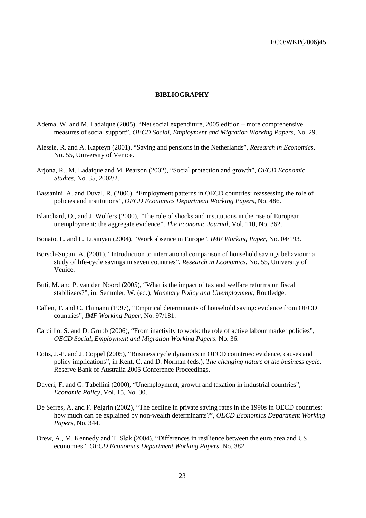#### **BIBLIOGRAPHY**

- Adema, W. and M. Ladaique (2005), "Net social expenditure, 2005 edition more comprehensive measures of social support", *OECD Social, Employment and Migration Working Papers*, No. 29.
- Alessie, R. and A. Kapteyn (2001), "Saving and pensions in the Netherlands", *Research in Economics*, No. 55, University of Venice.
- Arjona, R., M. Ladaique and M. Pearson (2002), "Social protection and growth", *OECD Economic Studies*, No. 35, 2002/2.
- Bassanini, A. and Duval, R. (2006), "Employment patterns in OECD countries: reassessing the role of policies and institutions", *OECD Economics Department Working Papers*, No. 486.
- Blanchard, O., and J. Wolfers (2000), "The role of shocks and institutions in the rise of European unemployment: the aggregate evidence", *The Economic Journal*, Vol. 110, No. 362.
- Bonato, L. and L. Lusinyan (2004), "Work absence in Europe", *IMF Working Paper*, No. 04/193.
- Borsch-Supan, A. (2001), "Introduction to international comparison of household savings behaviour: a study of life-cycle savings in seven countries", *Research in Economics*, No. 55, University of Venice.
- Buti, M. and P. van den Noord (2005), "What is the impact of tax and welfare reforms on fiscal stabilizers?", in: Semmler, W. (ed.), *Monetary Policy and Unemployment*, Routledge.
- Callen, T. and C. Thimann (1997), "Empirical determinants of household saving: evidence from OECD countries", *IMF Working Paper*, No. 97/181.
- Carcillio, S. and D. Grubb (2006), "From inactivity to work: the role of active labour market policies", *OECD Social, Employment and Migration Working Papers*, No. 36.
- Cotis, J.-P. and J. Coppel (2005), "Business cycle dynamics in OECD countries: evidence, causes and policy implications", in Kent, C. and D. Norman (eds.), *The changing nature of the business cycle*, Reserve Bank of Australia 2005 Conference Proceedings.
- Daveri, F. and G. Tabellini (2000), "Unemployment, growth and taxation in industrial countries", *Economic Policy*, Vol. 15, No. 30.
- De Serres, A. and F. Pelgrin (2002), "The decline in private saving rates in the 1990s in OECD countries: how much can be explained by non-wealth determinants?", *OECD Economics Department Working Papers*, No. 344.
- Drew, A., M. Kennedy and T. Sløk (2004), "Differences in resilience between the euro area and US economies", *OECD Economics Department Working Papers*, No. 382.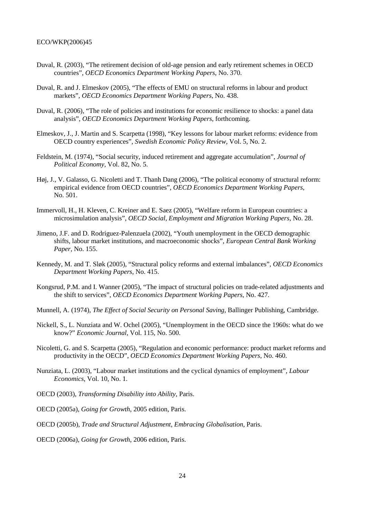- Duval, R. (2003), "The retirement decision of old-age pension and early retirement schemes in OECD countries", *OECD Economics Department Working Papers*, No. 370.
- Duval, R. and J. Elmeskov (2005), "The effects of EMU on structural reforms in labour and product markets", *OECD Economics Department Working Papers*, No. 438.
- Duval, R. (2006), "The role of policies and institutions for economic resilience to shocks: a panel data analysis", *OECD Economics Department Working Papers*, forthcoming.
- Elmeskov, J., J. Martin and S. Scarpetta (1998), "Key lessons for labour market reforms: evidence from OECD country experiences", *Swedish Economic Policy Review*, Vol. 5, No. 2.
- Feldstein, M. (1974), "Social security, induced retirement and aggregate accumulation", *Journal of Political Economy*, Vol. 82, No. 5.
- Høj, J., V. Galasso, G. Nicoletti and T. Thanh Dang (2006), "The political economy of structural reform: empirical evidence from OECD countries", *OECD Economics Department Working Papers*, No. 501.
- Immervoll, H., H. Kleven, C. Kreiner and E. Saez (2005), "Welfare reform in European countries: a microsimulation analysis", *OECD Social, Employment and Migration Working Papers*, No. 28.
- Jimeno, J.F. and D. Rodriguez-Palenzuela (2002), "Youth unemployment in the OECD demographic shifts, labour market institutions, and macroeconomic shocks", *European Central Bank Working Paper*, No. 155.
- Kennedy, M. and T. Sløk (2005), "Structural policy reforms and external imbalances", *OECD Economics Department Working Papers*, No. 415.
- Kongsrud, P.M. and I. Wanner (2005), "The impact of structural policies on trade-related adjustments and the shift to services", *OECD Economics Department Working Papers*, No. 427.
- Munnell, A. (1974), *The Effect of Social Security on Personal Saving*, Ballinger Publishing, Cambridge.
- Nickell, S., L. Nunziata and W. Ochel (2005), "Unemployment in the OECD since the 1960s: what do we know?" *Economic Journal*, Vol. 115, No. 500.
- Nicoletti, G. and S. Scarpetta (2005), "Regulation and economic performance: product market reforms and productivity in the OECD", *OECD Economics Department Working Papers*, No. 460.
- Nunziata, L. (2003), "Labour market institutions and the cyclical dynamics of employment", *Labour Economics*, Vol. 10, No. 1.
- OECD (2003), *Transforming Disability into Ability*, Paris.
- OECD (2005a), *Going for Growth*, 2005 edition, Paris.
- OECD (2005b), *Trade and Structural Adjustment, Embracing Globalisation*, Paris.
- OECD (2006a), *Going for Growth*, 2006 edition, Paris.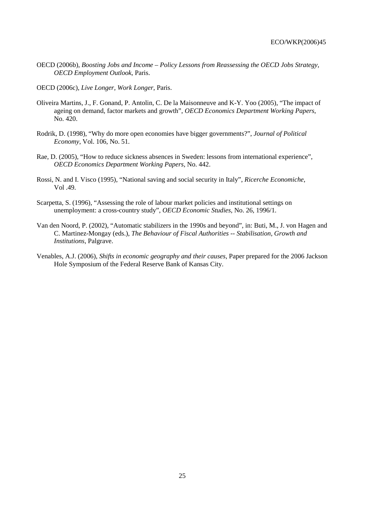- OECD (2006b), *Boosting Jobs and Income Policy Lessons from Reassessing the OECD Jobs Strategy, OECD Employment Outlook*, Paris.
- OECD (2006c), *Live Longer, Work Longer*, Paris.
- Oliveira Martins, J., F. Gonand, P. Antolin, C. De la Maisonneuve and K-Y. Yoo (2005), "The impact of ageing on demand, factor markets and growth", *OECD Economics Department Working Papers*, No. 420.
- Rodrik, D. (1998), "Why do more open economies have bigger governments?", *Journal of Political Economy*, Vol. 106, No. 51.
- Rae, D. (2005), "How to reduce sickness absences in Sweden: lessons from international experience", *OECD Economics Department Working Papers*, No. 442.
- Rossi, N. and I. Visco (1995), "National saving and social security in Italy", *Ricerche Economiche*, Vol .49.
- Scarpetta, S. (1996), "Assessing the role of labour market policies and institutional settings on unemployment: a cross-country study", *OECD Economic Studies*, No. 26, 1996/1.
- Van den Noord, P. (2002), "Automatic stabilizers in the 1990s and beyond", in: Buti, M., J. von Hagen and C. Martinez-Mongay (eds.), *The Behaviour of Fiscal Authorities -- Stabilisation, Growth and Institutions*, Palgrave.
- Venables, A.J. (2006), *Shifts in economic geography and their causes*, Paper prepared for the 2006 Jackson Hole Symposium of the Federal Reserve Bank of Kansas City.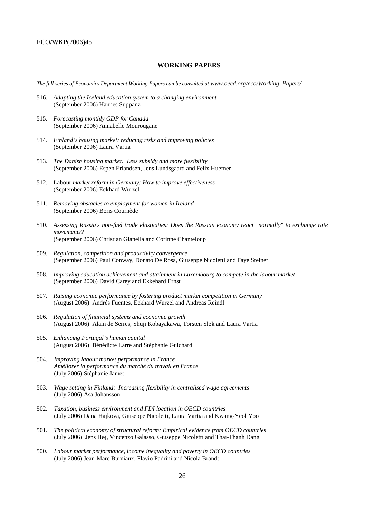# **WORKING PAPERS**

*The full series of Economics Department Working Papers can be consulted at www.oecd.org/eco/Working\_Papers/*

- 516. *Adapting the Iceland education system to a changing environment* (September 2006) Hannes Suppanz
- 515. *Forecasting monthly GDP for Canada* (September 2006) Annabelle Mourougane
- 514. *Finland's housing market: reducing risks and improving policies* (September 2006) Laura Vartia
- 513. *The Danish housing market: Less subsidy and more flexibility* (September 2006) Espen Erlandsen, Jens Lundsgaard and Felix Huefner
- 512. Labour *market reform in Germany: How to improve effectiveness*  (September 2006) Eckhard Wurzel
- 511. *Removing obstacles to employment for women in Ireland*  (September 2006) Boris Cournède
- 510. *Assessing Russia's non-fuel trade elasticities: Does the Russian economy react "normally" to exchange rate movements?*  (September 2006) Christian Gianella and Corinne Chanteloup
- 509. *Regulation, competition and productivity convergence*  (September 2006) Paul Conway, Donato De Rosa, Giuseppe Nicoletti and Faye Steiner
- 508. *Improving education achievement and attainment in Luxembourg to compete in the labour market* (September 2006) David Carey and Ekkehard Ernst
- 507. *Raising economic performance by fostering product market competition in Germany* (August 2006) Andrés Fuentes, Eckhard Wurzel and Andreas Reindl
- 506. *Regulation of financial systems and economic growth* (August 2006) Alain de Serres, Shuji Kobayakawa, Torsten Sløk and Laura Vartia
- 505. *Enhancing Portugal's human capital* (August 2006) Bénédicte Larre and Stéphanie Guichard
- 504. *Improving labour market performance in France Améliorer la performance du marché du travail en France*  (July 2006) Stéphanie Jamet
- 503. *Wage setting in Finland: Increasing flexibility in centralised wage agreements* (July 2006) Åsa Johansson
- 502. *Taxation, business environment and FDI location in OECD countries*  (July 2006) Dana Hajkova, Giuseppe Nicoletti, Laura Vartia and Kwang-Yeol Yoo
- 501. *The political economy of structural reform: Empirical evidence from OECD countries*  (July 2006) Jens Høj, Vincenzo Galasso, Giuseppe Nicoletti and Thai-Thanh Dang
- 500. *Labour market performance, income inequality and poverty in OECD countries* (July 2006) Jean-Marc Burniaux, Flavio Padrini and Nicola Brandt